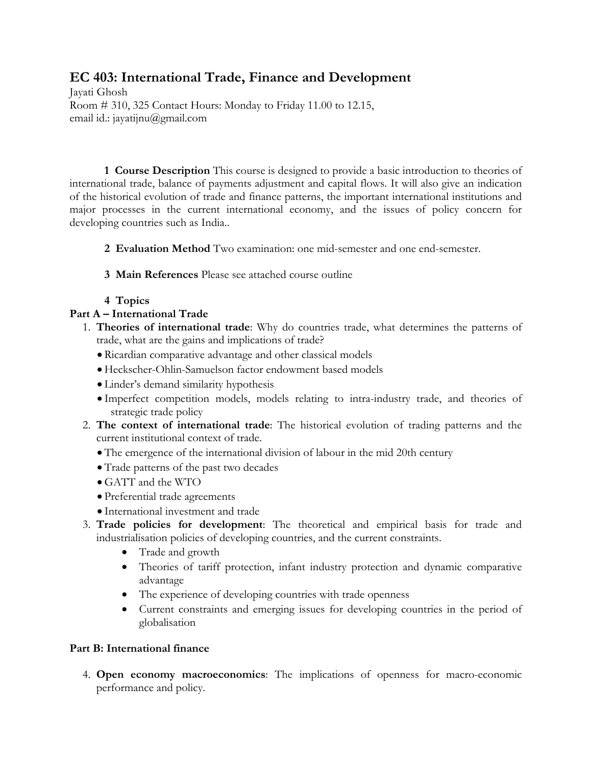## **EC 403: International Trade, Finance and Development**

Jayati Ghosh Room # 310, 325 Contact Hours: Monday to Friday 11.00 to 12.15, email id.: jayatijnu@gmail.com

**1 Course Description** This course is designed to provide a basic introduction to theories of international trade, balance of payments adjustment and capital flows. It will also give an indication of the historical evolution of trade and finance patterns, the important international institutions and major processes in the current international economy, and the issues of policy concern for developing countries such as India..

**2 Evaluation Method** Two examination: one mid-semester and one end-semester.

- **3 Main References** Please see attached course outline
- **4 Topics**

## **Part A – International Trade**

- 1. **Theories of international trade**: Why do countries trade, what determines the patterns of trade, what are the gains and implications of trade?
	- Ricardian comparative advantage and other classical models
	- Heckscher-Ohlin-Samuelson factor endowment based models
	- Linder's demand similarity hypothesis
	- Imperfect competition models, models relating to intra-industry trade, and theories of strategic trade policy
- 2. **The context of international trade**: The historical evolution of trading patterns and the current institutional context of trade.
	- The emergence of the international division of labour in the mid 20th century
	- Trade patterns of the past two decades
	- GATT and the WTO
	- Preferential trade agreements
	- International investment and trade
- 3. **Trade policies for development**: The theoretical and empirical basis for trade and industrialisation policies of developing countries, and the current constraints.
	- Trade and growth
	- Theories of tariff protection, infant industry protection and dynamic comparative advantage
	- The experience of developing countries with trade openness
	- Current constraints and emerging issues for developing countries in the period of globalisation

## **Part B: International finance**

4. **Open economy macroeconomics**: The implications of openness for macro-economic performance and policy.